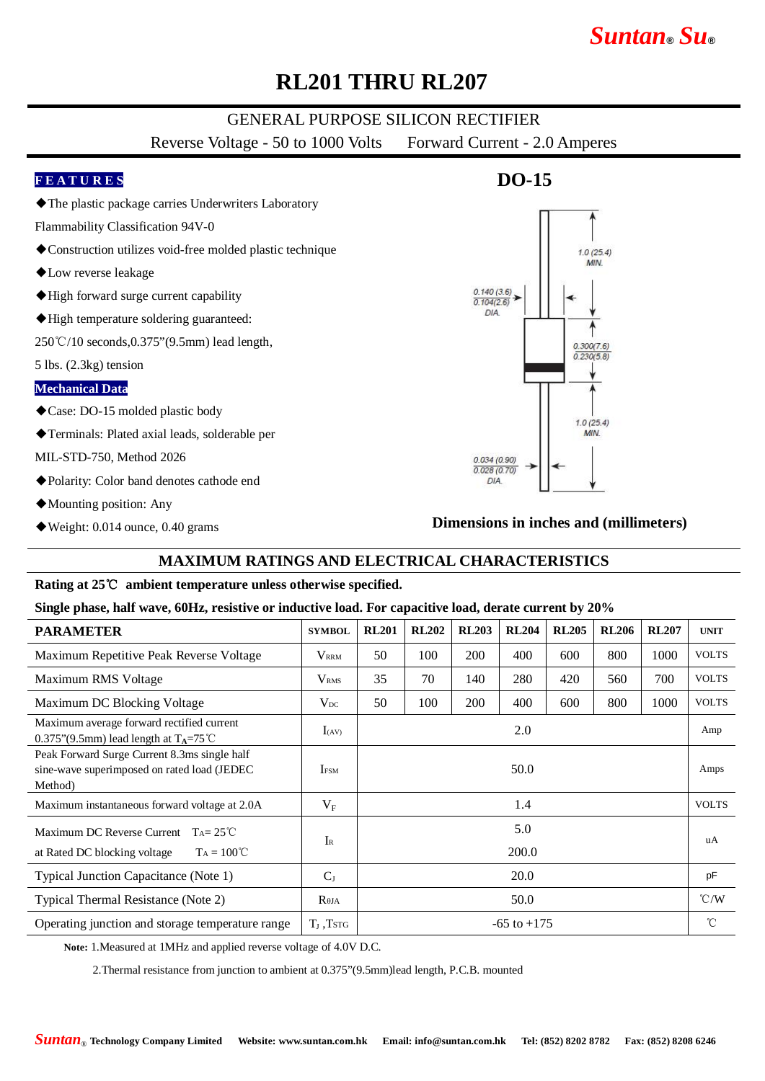# *Suntan***®** *Su***®**

# **RL201 THRU RL207**

## GENERAL PURPOSE SILICON RECTIFIER

Reverse Voltage - 50 to 1000 Volts Forward Current - 2.0 Amperes

### **F E A T U R E S**

- ◆The plastic package carries Underwriters Laboratory
- Flammability Classification 94V-0
- ◆Construction utilizes void-free molded plastic technique
- ◆Low reverse leakage
- ◆High forward surge current capability
- ◆High temperature soldering guaranteed:

250℃/10 seconds,0.375"(9.5mm) lead length,

5 lbs. (2.3kg) tension

#### **Mechanical Data**

- ◆Case: DO-15 molded plastic body
- ◆Terminals: Plated axial leads, solderable per

MIL-STD-750, Method 2026

- ◆Polarity: Color band denotes cathode end
- ◆Mounting position: Any
- ◆Weight: 0.014 ounce, 0.40 grams

# **DO-15**



### **Dimensions in inches and (millimeters)**

### **MAXIMUM RATINGS AND ELECTRICAL CHARACTERISTICS**

#### **Rating at 25**℃ **ambient temperature unless otherwise specified.**

#### **Single phase, half wave, 60Hz, resistive or inductive load. For capacitive load, derate current by 20%**

| <b>PARAMETER</b>                                                                                        | <b>SYMBOL</b>    | <b>RL201</b>    | <b>RL202</b> | <b>RL203</b> | <b>RL204</b> | <b>RL205</b> | <b>RL206</b> | <b>RL207</b> | <b>UNIT</b>   |
|---------------------------------------------------------------------------------------------------------|------------------|-----------------|--------------|--------------|--------------|--------------|--------------|--------------|---------------|
| Maximum Repetitive Peak Reverse Voltage                                                                 | <b>VRRM</b>      | 50              | 100          | 200          | 400          | 600          | 800          | 1000         | <b>VOLTS</b>  |
| Maximum RMS Voltage                                                                                     | V <sub>RMS</sub> | 35              | 70           | 140          | 280          | 420          | 560          | 700          | <b>VOLTS</b>  |
| Maximum DC Blocking Voltage                                                                             | $V_{DC}$         | 50              | 100          | 200          | 400          | 600          | 800          | 1000         | <b>VOLTS</b>  |
| Maximum average forward rectified current<br>0.375"(9.5mm) lead length at $T_A = 75^{\circ}$ C          | $I_{(AV)}$       | 2.0             |              |              |              |              |              |              | Amp           |
| Peak Forward Surge Current 8.3ms single half<br>sine-wave superimposed on rated load (JEDEC)<br>Method) | <b>IFSM</b>      | 50.0            |              |              |              |              |              |              | Amps          |
| Maximum instantaneous forward voltage at 2.0A                                                           | $V_{\rm F}$      | 1.4             |              |              |              |              |              |              | <b>VOLTS</b>  |
| Maximum DC Reverse Current<br>$T_A = 25^{\circ}C$                                                       | $I_{R}$          | 5.0             |              |              |              |              |              |              | uA            |
| $T_A = 100^{\circ}C$<br>at Rated DC blocking voltage                                                    |                  | 200.0           |              |              |              |              |              |              |               |
| Typical Junction Capacitance (Note 1)                                                                   | $C_{J}$          | 20.0            |              |              |              |              |              |              | pF            |
| Typical Thermal Resistance (Note 2)                                                                     | $R_{\theta JA}$  | 50.0            |              |              |              |              |              |              | $\degree$ C/W |
| Operating junction and storage temperature range                                                        | $T_{I}$ , Tstg   | $-65$ to $+175$ |              |              |              |              |              |              | $^{\circ}$ C  |

**Note:** 1.Measured at 1MHz and applied reverse voltage of 4.0V D.C.

2.Thermal resistance from junction to ambient at 0.375"(9.5mm)lead length, P.C.B. mounted